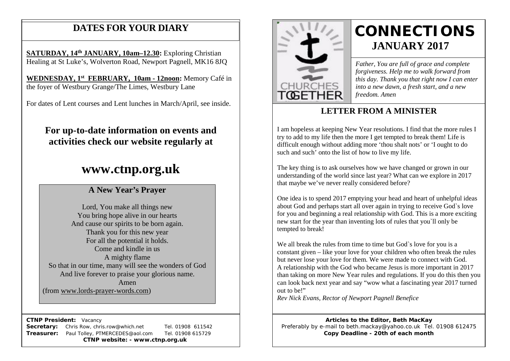# **DATES FOR YOUR DIARY**

**SATURDAY, 14th JANUARY, 10am–12.30:** Exploring Christian Healing at St Luke's, Wolverton Road, Newport Pagnell, MK16 8JQ

 **WEDNESDAY, 1st FEBRUARY, 10am - 12noon:** Memory Café in the foyer of Westbury Grange/The Limes, Westbury Lane

For dates of Lent courses and Lent lunches in March/April, see inside.

# **For up-to-date information on events and activities check our website regularly at**

# **www.ctnp.org.uk**

## **A New Year's Prayer**

Lord, You make all things new You bring hope alive in our hearts And cause our spirits to be born again. Thank you for this new year For all the potential it holds. Come and kindle in us A mighty flame So that in our time, many will see the wonders of God And live forever to praise your glorious name. Amen (from [www.lords-prayer-words.com\)](http://www.lords-prayer-words.com/)

 **CTNP President:** Vacancy

**Secretary:** Chris Row, chris.row@which.net Tel. 01908 611542 **Treasurer:** Paul Tolley, PTMERCEDES@aol.com Tel. 01908 615729 **CTNP website: - www.ctnp.org.uk**



# **CONNECTIONS JANUARY 2017**

*Father, You are full of grace and complete forgiveness. Help me to walk forward from this day. Thank you that right now I can enter into a new dawn, a fresh start, and a new freedom. Amen*

## **LETTER FROM A MINISTER**

I am hopeless at keeping New Year resolutions. I find that the more rules I try to add to my life then the more I get tempted to break them! Life is difficult enough without adding more 'thou shalt nots' or 'I ought to do such and such' onto the list of how to live my life.

The key thing is to ask ourselves how we have changed or grown in our understanding of the world since last year? What can we explore in 2017 that maybe we've never really considered before?

One idea is to spend 2017 emptying your head and heart of unhelpful ideas about God and perhaps start all over again in trying to receive God`s love for you and beginning a real relationship with God. This is a more exciting new start for the year than inventing lots of rules that you`ll only be tempted to break!

We all break the rules from time to time but God's love for you is a constant given – like your love for your children who often break the rules but never lose your love for them. We were made to connect with God. A relationship with the God who became Jesus is more important in 2017 than taking on more New Year rules and regulations. If you do this then you can look back next year and say "wow what a fascinating year 2017 turned out to be!"

*Rev Nick Evans, Rector of Newport Pagnell Benefice*

**Articles to the Editor, Beth MacKay** Preferably by e-mail to beth.mackay@yahoo.co.uk Tel. 01908 612475 **Copy Deadline - 20th of each month**